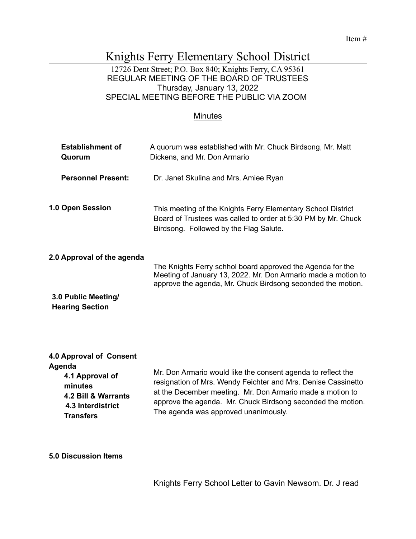#### Item #

# Knights Ferry Elementary School District

#### 12726 Dent Street; P.O. Box 840; Knights Ferry, CA 95361 REGULAR MEETING OF THE BOARD OF TRUSTEES Thursday, January 13, 2022 SPECIAL MEETING BEFORE THE PUBLIC VIA ZOOM

#### **Minutes**

| <b>Establishment of</b><br>Quorum             | A quorum was established with Mr. Chuck Birdsong, Mr. Matt<br>Dickens, and Mr. Don Armario                                                                                                 |
|-----------------------------------------------|--------------------------------------------------------------------------------------------------------------------------------------------------------------------------------------------|
| <b>Personnel Present:</b>                     | Dr. Janet Skulina and Mrs. Amiee Ryan                                                                                                                                                      |
| <b>1.0 Open Session</b>                       | This meeting of the Knights Ferry Elementary School District<br>Board of Trustees was called to order at 5:30 PM by Mr. Chuck<br>Birdsong. Followed by the Flag Salute.                    |
| 2.0 Approval of the agenda                    | The Knights Ferry schhol board approved the Agenda for the<br>Meeting of January 13, 2022. Mr. Don Armario made a motion to<br>approve the agenda, Mr. Chuck Birdsong seconded the motion. |
| 3.0 Public Meeting/<br><b>Hearing Section</b> |                                                                                                                                                                                            |

## **4.0 Approval of Consent**

| Agenda<br>4.1 Approval of<br>minutes<br>4.2 Bill & Warrants<br>4.3 Interdistrict<br><b>Transfers</b> | Mr. Don Armario would like the consent agenda to reflect the<br>resignation of Mrs. Wendy Feichter and Mrs. Denise Cassinetto<br>at the December meeting. Mr. Don Armario made a motion to<br>approve the agenda. Mr. Chuck Birdsong seconded the motion.<br>The agenda was approved unanimously. |  |
|------------------------------------------------------------------------------------------------------|---------------------------------------------------------------------------------------------------------------------------------------------------------------------------------------------------------------------------------------------------------------------------------------------------|--|
|------------------------------------------------------------------------------------------------------|---------------------------------------------------------------------------------------------------------------------------------------------------------------------------------------------------------------------------------------------------------------------------------------------------|--|

# **5.0 Discussion Items**

Knights Ferry School Letter to Gavin Newsom. Dr. J read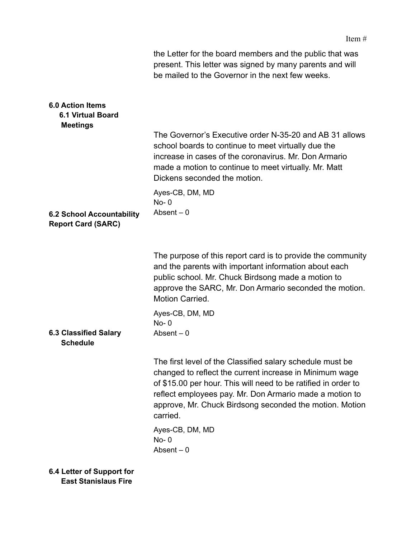|                                                                        | the Letter for the board members and the public that was<br>present. This letter was signed by many parents and will<br>be mailed to the Governor in the next few weeks.                                                                                                                                                 |
|------------------------------------------------------------------------|--------------------------------------------------------------------------------------------------------------------------------------------------------------------------------------------------------------------------------------------------------------------------------------------------------------------------|
| <b>6.0 Action Items</b><br><b>6.1 Virtual Board</b><br><b>Meetings</b> |                                                                                                                                                                                                                                                                                                                          |
|                                                                        | The Governor's Executive order N-35-20 and AB 31 allows<br>school boards to continue to meet virtually due the<br>increase in cases of the coronavirus. Mr. Don Armario<br>made a motion to continue to meet virtually. Mr. Matt<br>Dickens seconded the motion.                                                         |
|                                                                        | Ayes-CB, DM, MD                                                                                                                                                                                                                                                                                                          |
|                                                                        | $No-0$                                                                                                                                                                                                                                                                                                                   |
| <b>6.2 School Accountability</b><br><b>Report Card (SARC)</b>          | Absent $-0$                                                                                                                                                                                                                                                                                                              |
|                                                                        | The purpose of this report card is to provide the community<br>and the parents with important information about each<br>public school. Mr. Chuck Birdsong made a motion to<br>approve the SARC, Mr. Don Armario seconded the motion.<br>Motion Carried.                                                                  |
|                                                                        | Ayes-CB, DM, MD                                                                                                                                                                                                                                                                                                          |
| <b>6.3 Classified Salary</b><br><b>Schedule</b>                        | $No-0$<br>Absent $-0$                                                                                                                                                                                                                                                                                                    |
|                                                                        | The first level of the Classified salary schedule must be<br>changed to reflect the current increase in Minimum wage<br>of \$15.00 per hour. This will need to be ratified in order to<br>reflect employees pay. Mr. Don Armario made a motion to<br>approve, Mr. Chuck Birdsong seconded the motion. Motion<br>carried. |
|                                                                        | Ayes-CB, DM, MD<br>$No-0$<br>Absent $-0$                                                                                                                                                                                                                                                                                 |
| 6.4 Letter of Support for<br><b>East Stanislaus Fire</b>               |                                                                                                                                                                                                                                                                                                                          |